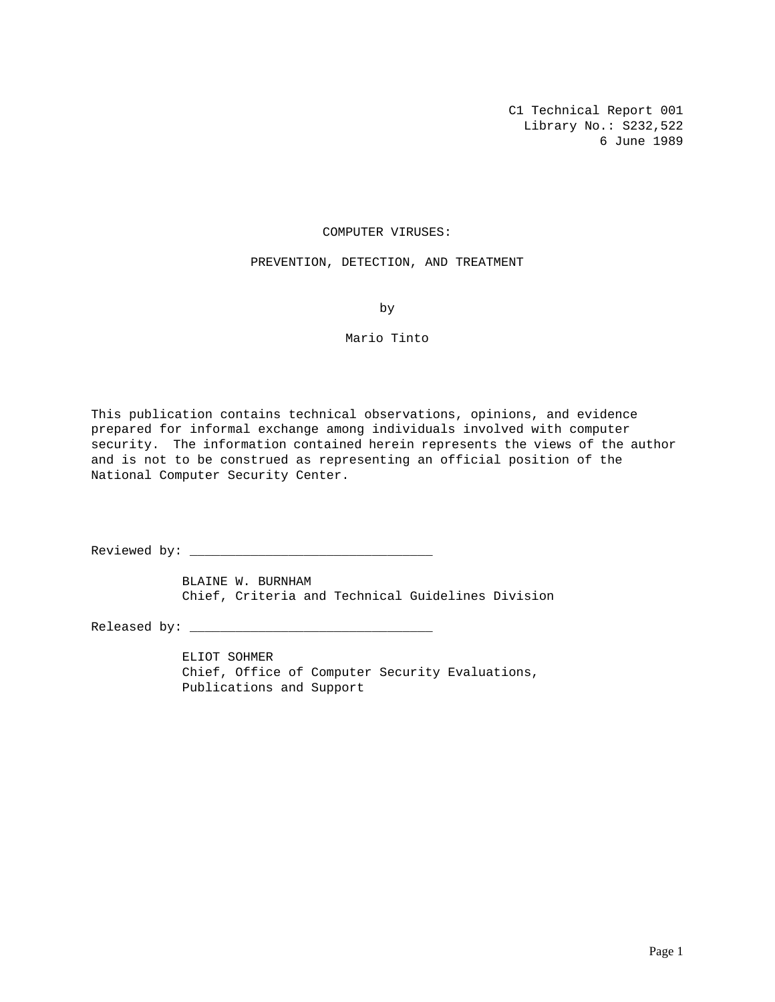C1 Technical Report 001 Library No.: S232,522 6 June 1989

# COMPUTER VIRUSES:

## PREVENTION, DETECTION, AND TREATMENT

by

# Mario Tinto

This publication contains technical observations, opinions, and evidence prepared for informal exchange among individuals involved with computer security. The information contained herein represents the views of the author and is not to be construed as representing an official position of the National Computer Security Center.

Reviewed by: \_\_\_\_\_\_\_\_\_\_\_\_\_\_\_\_\_\_\_\_\_\_\_\_\_\_\_\_\_\_\_\_

BLAINE W. BURNHAM Chief, Criteria and Technical Guidelines Division

Released by: \_\_\_\_\_\_\_\_\_\_\_\_\_\_\_\_\_\_\_\_\_\_\_\_\_\_\_\_\_\_\_\_

ELIOT SOHMER Chief, Office of Computer Security Evaluations, Publications and Support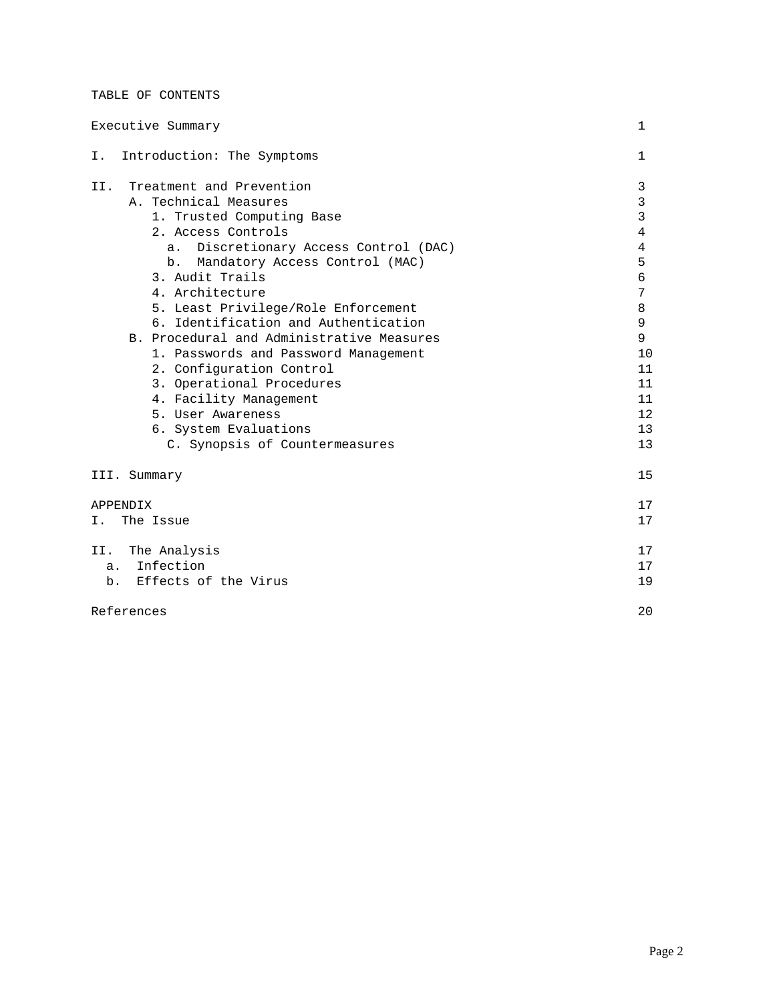# TABLE OF CONTENTS

| Executive Summary                                                                                                                                                                                                                                                                                                                                                                                                                                                                                                                                                               | 1                                                                                                                       |
|---------------------------------------------------------------------------------------------------------------------------------------------------------------------------------------------------------------------------------------------------------------------------------------------------------------------------------------------------------------------------------------------------------------------------------------------------------------------------------------------------------------------------------------------------------------------------------|-------------------------------------------------------------------------------------------------------------------------|
| Introduction: The Symptoms<br>Ι.                                                                                                                                                                                                                                                                                                                                                                                                                                                                                                                                                | 1                                                                                                                       |
| Treatment and Prevention<br>II.<br>A. Technical Measures<br>1. Trusted Computing Base<br>2. Access Controls<br>Discretionary Access Control (DAC)<br>$a$ .<br>Mandatory Access Control (MAC)<br>b.<br>3. Audit Trails<br>4. Architecture<br>5. Least Privilege/Role Enforcement<br>6. Identification and Authentication<br>B. Procedural and Administrative Measures<br>1. Passwords and Password Management<br>2. Configuration Control<br>3. Operational Procedures<br>4. Facility Management<br>5. User Awareness<br>6. System Evaluations<br>C. Synopsis of Countermeasures | 3<br>3<br>3<br>$\overline{4}$<br>$\overline{4}$<br>5<br>6<br>7<br>8<br>9<br>9<br>10<br>11<br>11<br>11<br>12<br>13<br>13 |
| III. Summary                                                                                                                                                                                                                                                                                                                                                                                                                                                                                                                                                                    | 15                                                                                                                      |
| <b>APPENDIX</b><br>The Issue<br>Ι.                                                                                                                                                                                                                                                                                                                                                                                                                                                                                                                                              | 17<br>17                                                                                                                |
| The Analysis<br>II.<br>a. Infection<br>b. Effects of the Virus                                                                                                                                                                                                                                                                                                                                                                                                                                                                                                                  | 17<br>17<br>19                                                                                                          |
| References                                                                                                                                                                                                                                                                                                                                                                                                                                                                                                                                                                      | 20                                                                                                                      |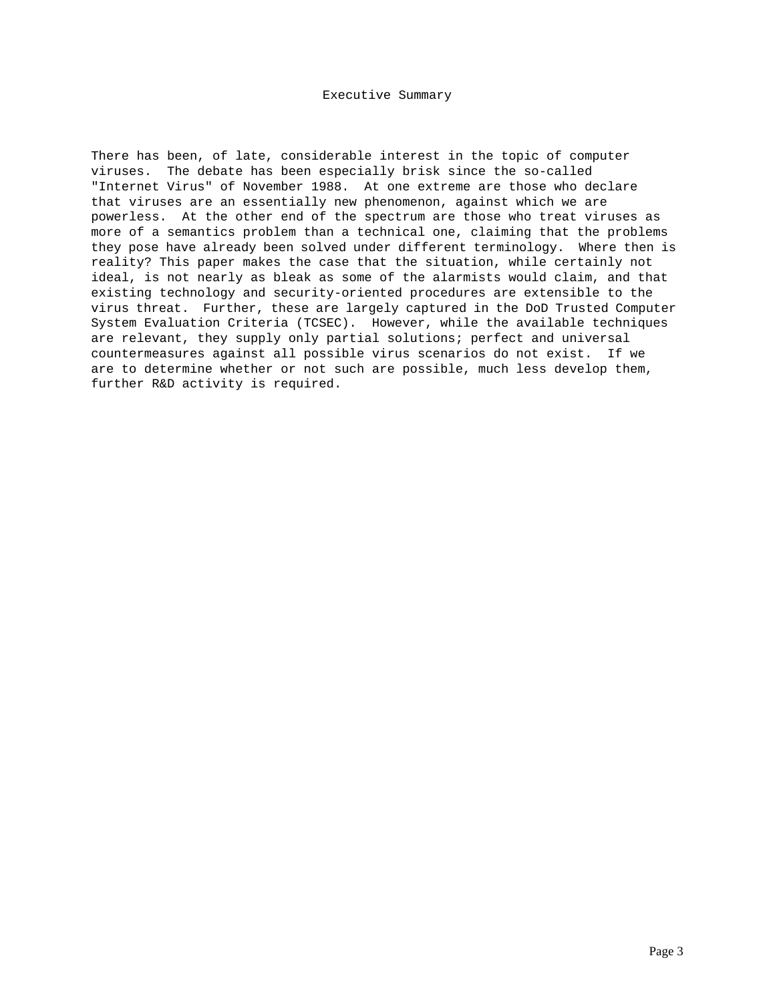# Executive Summary

There has been, of late, considerable interest in the topic of computer viruses. The debate has been especially brisk since the so-called "Internet Virus" of November 1988. At one extreme are those who declare that viruses are an essentially new phenomenon, against which we are powerless. At the other end of the spectrum are those who treat viruses as more of a semantics problem than a technical one, claiming that the problems they pose have already been solved under different terminology. Where then is reality? This paper makes the case that the situation, while certainly not ideal, is not nearly as bleak as some of the alarmists would claim, and that existing technology and security-oriented procedures are extensible to the virus threat. Further, these are largely captured in the DoD Trusted Computer System Evaluation Criteria (TCSEC). However, while the available techniques are relevant, they supply only partial solutions; perfect and universal countermeasures against all possible virus scenarios do not exist. If we are to determine whether or not such are possible, much less develop them, further R&D activity is required.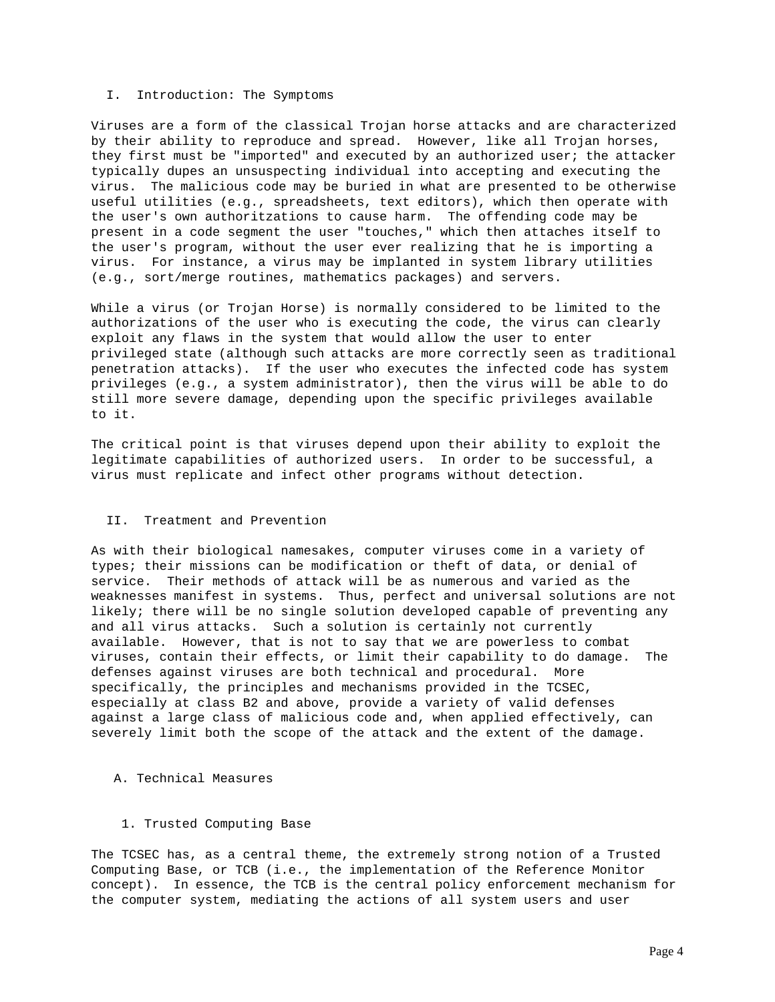#### I. Introduction: The Symptoms

Viruses are a form of the classical Trojan horse attacks and are characterized by their ability to reproduce and spread. However, like all Trojan horses, they first must be "imported" and executed by an authorized user; the attacker typically dupes an unsuspecting individual into accepting and executing the virus. The malicious code may be buried in what are presented to be otherwise useful utilities (e.g., spreadsheets, text editors), which then operate with the user's own authoritzations to cause harm. The offending code may be present in a code segment the user "touches," which then attaches itself to the user's program, without the user ever realizing that he is importing a virus. For instance, a virus may be implanted in system library utilities (e.g., sort/merge routines, mathematics packages) and servers.

While a virus (or Trojan Horse) is normally considered to be limited to the authorizations of the user who is executing the code, the virus can clearly exploit any flaws in the system that would allow the user to enter privileged state (although such attacks are more correctly seen as traditional penetration attacks). If the user who executes the infected code has system privileges (e.g., a system administrator), then the virus will be able to do still more severe damage, depending upon the specific privileges available to it.

The critical point is that viruses depend upon their ability to exploit the legitimate capabilities of authorized users. In order to be successful, a virus must replicate and infect other programs without detection.

# II. Treatment and Prevention

As with their biological namesakes, computer viruses come in a variety of types; their missions can be modification or theft of data, or denial of service. Their methods of attack will be as numerous and varied as the weaknesses manifest in systems. Thus, perfect and universal solutions are not likely; there will be no single solution developed capable of preventing any and all virus attacks. Such a solution is certainly not currently available. However, that is not to say that we are powerless to combat viruses, contain their effects, or limit their capability to do damage. The defenses against viruses are both technical and procedural. More specifically, the principles and mechanisms provided in the TCSEC, especially at class B2 and above, provide a variety of valid defenses against a large class of malicious code and, when applied effectively, can severely limit both the scope of the attack and the extent of the damage.

## A. Technical Measures

#### 1. Trusted Computing Base

The TCSEC has, as a central theme, the extremely strong notion of a Trusted Computing Base, or TCB (i.e., the implementation of the Reference Monitor concept). In essence, the TCB is the central policy enforcement mechanism for the computer system, mediating the actions of all system users and user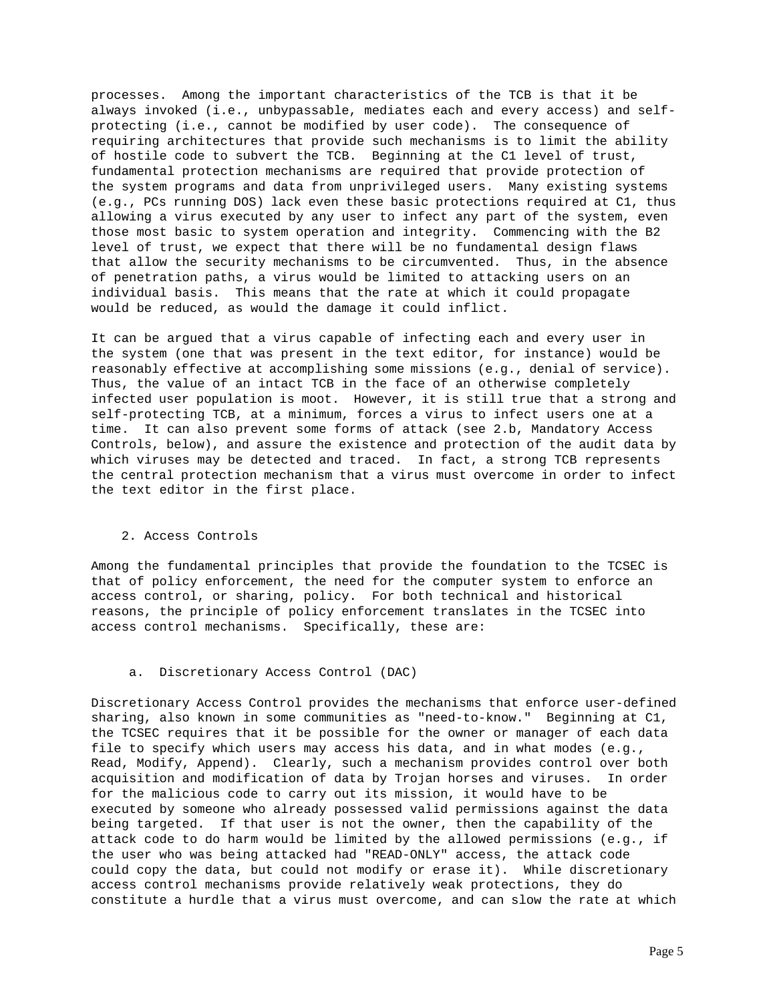processes. Among the important characteristics of the TCB is that it be always invoked (i.e., unbypassable, mediates each and every access) and selfprotecting (i.e., cannot be modified by user code). The consequence of requiring architectures that provide such mechanisms is to limit the ability of hostile code to subvert the TCB. Beginning at the C1 level of trust, fundamental protection mechanisms are required that provide protection of the system programs and data from unprivileged users. Many existing systems (e.g., PCs running DOS) lack even these basic protections required at C1, thus allowing a virus executed by any user to infect any part of the system, even those most basic to system operation and integrity. Commencing with the B2 level of trust, we expect that there will be no fundamental design flaws that allow the security mechanisms to be circumvented. Thus, in the absence of penetration paths, a virus would be limited to attacking users on an individual basis. This means that the rate at which it could propagate would be reduced, as would the damage it could inflict.

It can be argued that a virus capable of infecting each and every user in the system (one that was present in the text editor, for instance) would be reasonably effective at accomplishing some missions (e.g., denial of service). Thus, the value of an intact TCB in the face of an otherwise completely infected user population is moot. However, it is still true that a strong and self-protecting TCB, at a minimum, forces a virus to infect users one at a time. It can also prevent some forms of attack (see 2.b, Mandatory Access Controls, below), and assure the existence and protection of the audit data by which viruses may be detected and traced. In fact, a strong TCB represents the central protection mechanism that a virus must overcome in order to infect the text editor in the first place.

## 2. Access Controls

Among the fundamental principles that provide the foundation to the TCSEC is that of policy enforcement, the need for the computer system to enforce an access control, or sharing, policy. For both technical and historical reasons, the principle of policy enforcement translates in the TCSEC into access control mechanisms. Specifically, these are:

# a. Discretionary Access Control (DAC)

Discretionary Access Control provides the mechanisms that enforce user-defined sharing, also known in some communities as "need-to-know." Beginning at C1, the TCSEC requires that it be possible for the owner or manager of each data file to specify which users may access his data, and in what modes (e.g., Read, Modify, Append). Clearly, such a mechanism provides control over both acquisition and modification of data by Trojan horses and viruses. In order for the malicious code to carry out its mission, it would have to be executed by someone who already possessed valid permissions against the data being targeted. If that user is not the owner, then the capability of the attack code to do harm would be limited by the allowed permissions (e.g., if the user who was being attacked had "READ-ONLY" access, the attack code could copy the data, but could not modify or erase it). While discretionary access control mechanisms provide relatively weak protections, they do constitute a hurdle that a virus must overcome, and can slow the rate at which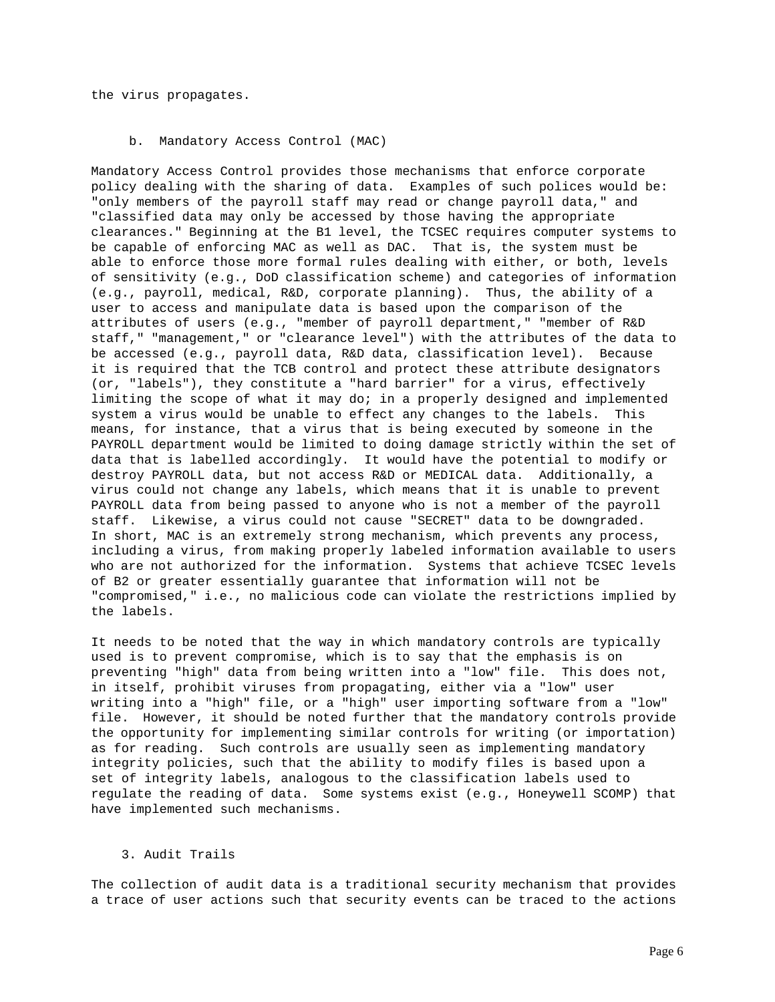the virus propagates.

### b. Mandatory Access Control (MAC)

Mandatory Access Control provides those mechanisms that enforce corporate policy dealing with the sharing of data. Examples of such polices would be: "only members of the payroll staff may read or change payroll data," and "classified data may only be accessed by those having the appropriate clearances." Beginning at the B1 level, the TCSEC requires computer systems to be capable of enforcing MAC as well as DAC. That is, the system must be able to enforce those more formal rules dealing with either, or both, levels of sensitivity (e.g., DoD classification scheme) and categories of information (e.g., payroll, medical, R&D, corporate planning). Thus, the ability of a user to access and manipulate data is based upon the comparison of the attributes of users (e.g., "member of payroll department," "member of R&D staff," "management," or "clearance level") with the attributes of the data to be accessed (e.g., payroll data, R&D data, classification level). Because it is required that the TCB control and protect these attribute designators (or, "labels"), they constitute a "hard barrier" for a virus, effectively limiting the scope of what it may do; in a properly designed and implemented system a virus would be unable to effect any changes to the labels. This means, for instance, that a virus that is being executed by someone in the PAYROLL department would be limited to doing damage strictly within the set of data that is labelled accordingly. It would have the potential to modify or destroy PAYROLL data, but not access R&D or MEDICAL data. Additionally, a virus could not change any labels, which means that it is unable to prevent PAYROLL data from being passed to anyone who is not a member of the payroll staff. Likewise, a virus could not cause "SECRET" data to be downgraded. In short, MAC is an extremely strong mechanism, which prevents any process, including a virus, from making properly labeled information available to users who are not authorized for the information. Systems that achieve TCSEC levels of B2 or greater essentially guarantee that information will not be "compromised," i.e., no malicious code can violate the restrictions implied by the labels.

It needs to be noted that the way in which mandatory controls are typically used is to prevent compromise, which is to say that the emphasis is on preventing "high" data from being written into a "low" file. This does not, in itself, prohibit viruses from propagating, either via a "low" user writing into a "high" file, or a "high" user importing software from a "low" file. However, it should be noted further that the mandatory controls provide the opportunity for implementing similar controls for writing (or importation) as for reading. Such controls are usually seen as implementing mandatory integrity policies, such that the ability to modify files is based upon a set of integrity labels, analogous to the classification labels used to regulate the reading of data. Some systems exist (e.g., Honeywell SCOMP) that have implemented such mechanisms.

# 3. Audit Trails

The collection of audit data is a traditional security mechanism that provides a trace of user actions such that security events can be traced to the actions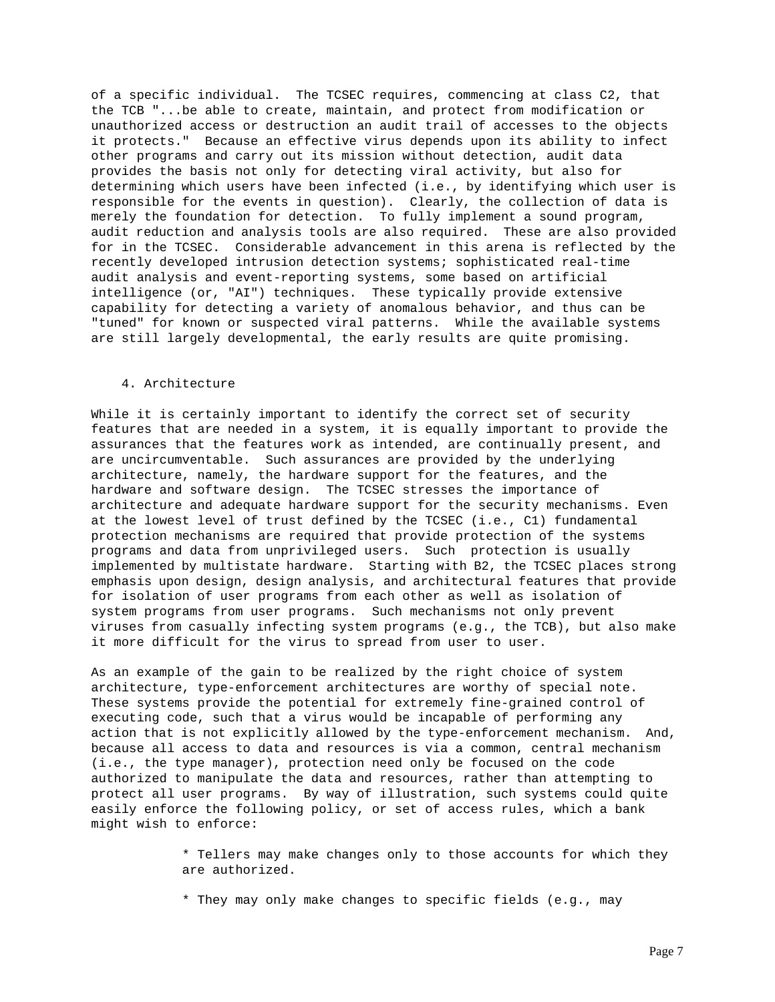of a specific individual. The TCSEC requires, commencing at class C2, that the TCB "...be able to create, maintain, and protect from modification or unauthorized access or destruction an audit trail of accesses to the objects it protects." Because an effective virus depends upon its ability to infect other programs and carry out its mission without detection, audit data provides the basis not only for detecting viral activity, but also for determining which users have been infected (i.e., by identifying which user is responsible for the events in question). Clearly, the collection of data is merely the foundation for detection. To fully implement a sound program, audit reduction and analysis tools are also required. These are also provided for in the TCSEC. Considerable advancement in this arena is reflected by the recently developed intrusion detection systems; sophisticated real-time audit analysis and event-reporting systems, some based on artificial intelligence (or, "AI") techniques. These typically provide extensive capability for detecting a variety of anomalous behavior, and thus can be "tuned" for known or suspected viral patterns. While the available systems are still largely developmental, the early results are quite promising.

# 4. Architecture

While it is certainly important to identify the correct set of security features that are needed in a system, it is equally important to provide the assurances that the features work as intended, are continually present, and are uncircumventable. Such assurances are provided by the underlying architecture, namely, the hardware support for the features, and the hardware and software design. The TCSEC stresses the importance of architecture and adequate hardware support for the security mechanisms. Even at the lowest level of trust defined by the TCSEC (i.e., C1) fundamental protection mechanisms are required that provide protection of the systems programs and data from unprivileged users. Such protection is usually implemented by multistate hardware. Starting with B2, the TCSEC places strong emphasis upon design, design analysis, and architectural features that provide for isolation of user programs from each other as well as isolation of system programs from user programs. Such mechanisms not only prevent viruses from casually infecting system programs (e.g., the TCB), but also make it more difficult for the virus to spread from user to user.

As an example of the gain to be realized by the right choice of system architecture, type-enforcement architectures are worthy of special note. These systems provide the potential for extremely fine-grained control of executing code, such that a virus would be incapable of performing any action that is not explicitly allowed by the type-enforcement mechanism. And, because all access to data and resources is via a common, central mechanism (i.e., the type manager), protection need only be focused on the code authorized to manipulate the data and resources, rather than attempting to protect all user programs. By way of illustration, such systems could quite easily enforce the following policy, or set of access rules, which a bank might wish to enforce:

> \* Tellers may make changes only to those accounts for which they are authorized.

\* They may only make changes to specific fields (e.g., may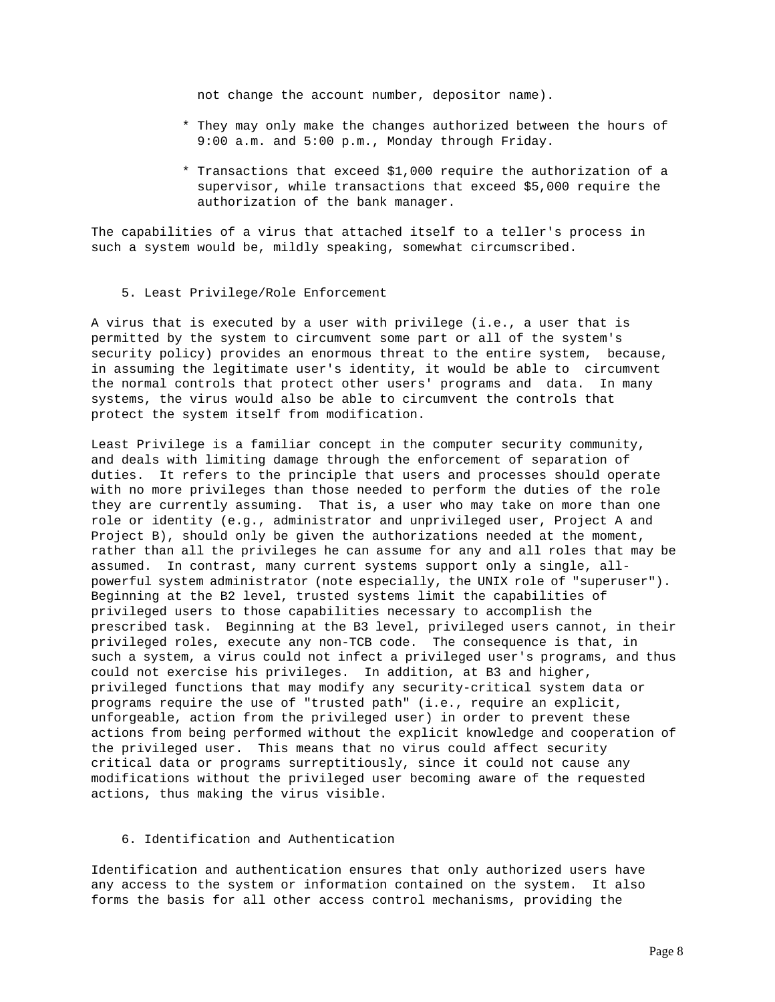not change the account number, depositor name).

- \* They may only make the changes authorized between the hours of 9:00 a.m. and 5:00 p.m., Monday through Friday.
- \* Transactions that exceed \$1,000 require the authorization of a supervisor, while transactions that exceed \$5,000 require the authorization of the bank manager.

The capabilities of a virus that attached itself to a teller's process in such a system would be, mildly speaking, somewhat circumscribed.

5. Least Privilege/Role Enforcement

A virus that is executed by a user with privilege (i.e., a user that is permitted by the system to circumvent some part or all of the system's security policy) provides an enormous threat to the entire system, because, in assuming the legitimate user's identity, it would be able to circumvent the normal controls that protect other users' programs and data. In many systems, the virus would also be able to circumvent the controls that protect the system itself from modification.

Least Privilege is a familiar concept in the computer security community, and deals with limiting damage through the enforcement of separation of duties. It refers to the principle that users and processes should operate with no more privileges than those needed to perform the duties of the role they are currently assuming. That is, a user who may take on more than one role or identity (e.g., administrator and unprivileged user, Project A and Project B), should only be given the authorizations needed at the moment, rather than all the privileges he can assume for any and all roles that may be assumed. In contrast, many current systems support only a single, allpowerful system administrator (note especially, the UNIX role of "superuser"). Beginning at the B2 level, trusted systems limit the capabilities of privileged users to those capabilities necessary to accomplish the prescribed task. Beginning at the B3 level, privileged users cannot, in their privileged roles, execute any non-TCB code. The consequence is that, in such a system, a virus could not infect a privileged user's programs, and thus could not exercise his privileges. In addition, at B3 and higher, privileged functions that may modify any security-critical system data or programs require the use of "trusted path" (i.e., require an explicit, unforgeable, action from the privileged user) in order to prevent these actions from being performed without the explicit knowledge and cooperation of the privileged user. This means that no virus could affect security critical data or programs surreptitiously, since it could not cause any modifications without the privileged user becoming aware of the requested actions, thus making the virus visible.

# 6. Identification and Authentication

Identification and authentication ensures that only authorized users have any access to the system or information contained on the system. It also forms the basis for all other access control mechanisms, providing the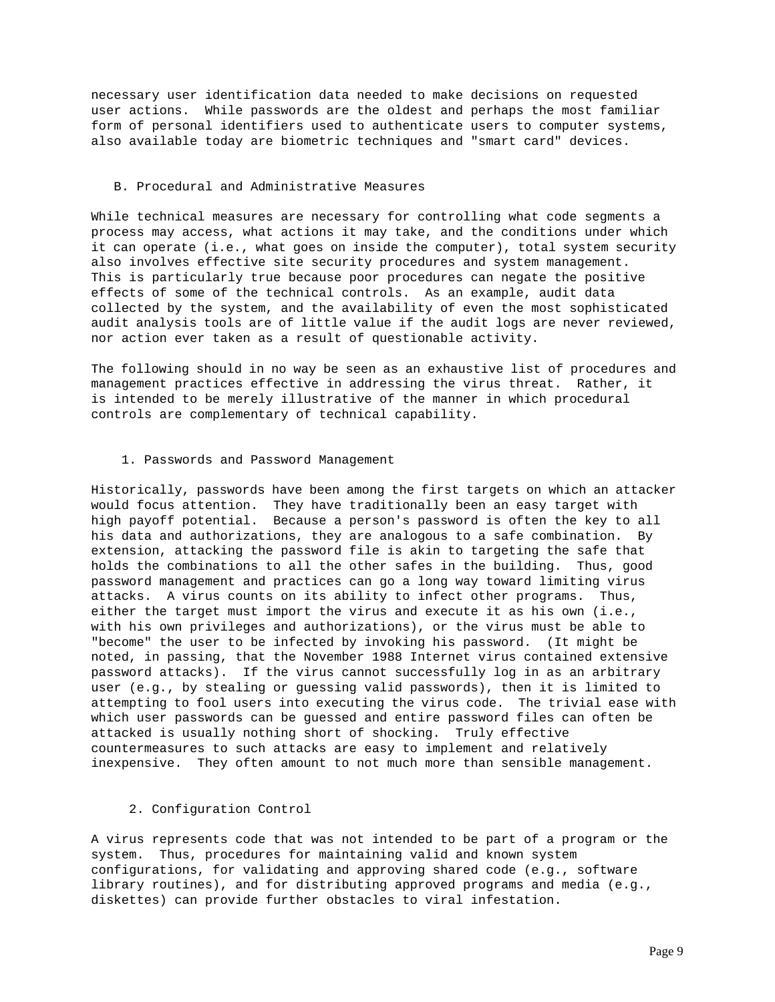necessary user identification data needed to make decisions on requested user actions. While passwords are the oldest and perhaps the most familiar form of personal identifiers used to authenticate users to computer systems, also available today are biometric techniques and "smart card" devices.

## B. Procedural and Administrative Measures

While technical measures are necessary for controlling what code segments a process may access, what actions it may take, and the conditions under which it can operate (i.e., what goes on inside the computer), total system security also involves effective site security procedures and system management. This is particularly true because poor procedures can negate the positive effects of some of the technical controls. As an example, audit data collected by the system, and the availability of even the most sophisticated audit analysis tools are of little value if the audit logs are never reviewed, nor action ever taken as a result of questionable activity.

The following should in no way be seen as an exhaustive list of procedures and management practices effective in addressing the virus threat. Rather, it is intended to be merely illustrative of the manner in which procedural controls are complementary of technical capability.

### 1. Passwords and Password Management

Historically, passwords have been among the first targets on which an attacker would focus attention. They have traditionally been an easy target with high payoff potential. Because a person's password is often the key to all his data and authorizations, they are analogous to a safe combination. By extension, attacking the password file is akin to targeting the safe that holds the combinations to all the other safes in the building. Thus, good password management and practices can go a long way toward limiting virus attacks. A virus counts on its ability to infect other programs. Thus, either the target must import the virus and execute it as his own (i.e., with his own privileges and authorizations), or the virus must be able to "become" the user to be infected by invoking his password. (It might be noted, in passing, that the November 1988 Internet virus contained extensive password attacks). If the virus cannot successfully log in as an arbitrary user (e.g., by stealing or guessing valid passwords), then it is limited to attempting to fool users into executing the virus code. The trivial ease with which user passwords can be guessed and entire password files can often be attacked is usually nothing short of shocking. Truly effective countermeasures to such attacks are easy to implement and relatively inexpensive. They often amount to not much more than sensible management.

# 2. Configuration Control

A virus represents code that was not intended to be part of a program or the system. Thus, procedures for maintaining valid and known system configurations, for validating and approving shared code (e.g., software library routines), and for distributing approved programs and media (e.g., diskettes) can provide further obstacles to viral infestation.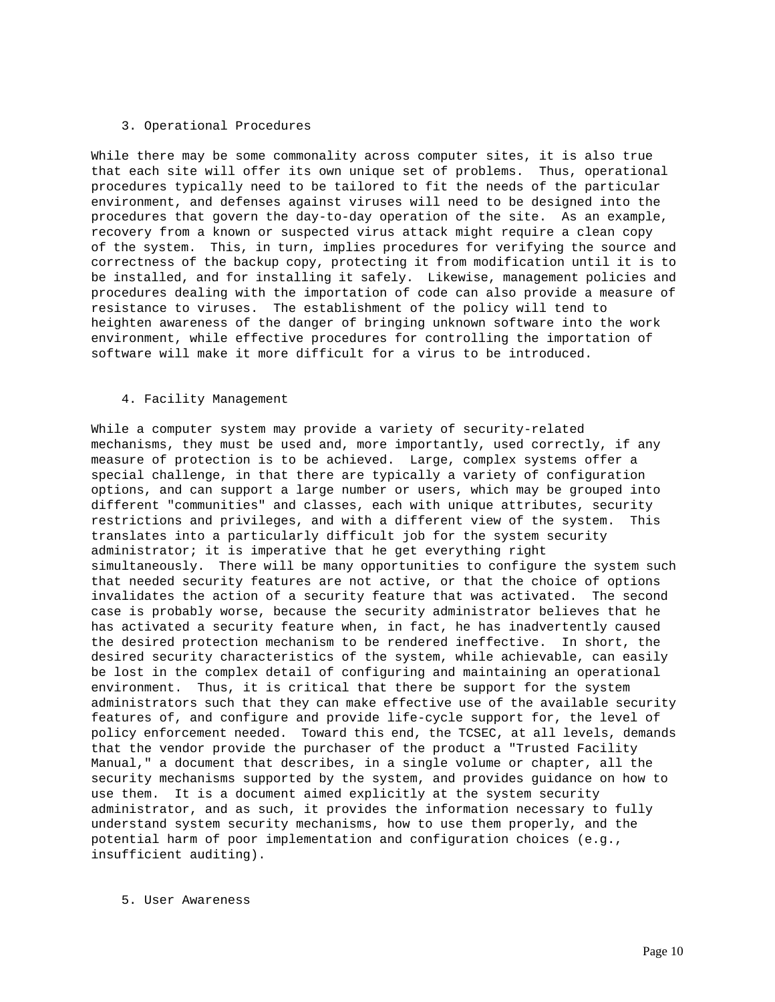### 3. Operational Procedures

While there may be some commonality across computer sites, it is also true that each site will offer its own unique set of problems. Thus, operational procedures typically need to be tailored to fit the needs of the particular environment, and defenses against viruses will need to be designed into the procedures that govern the day-to-day operation of the site. As an example, recovery from a known or suspected virus attack might require a clean copy of the system. This, in turn, implies procedures for verifying the source and correctness of the backup copy, protecting it from modification until it is to be installed, and for installing it safely. Likewise, management policies and procedures dealing with the importation of code can also provide a measure of resistance to viruses. The establishment of the policy will tend to heighten awareness of the danger of bringing unknown software into the work environment, while effective procedures for controlling the importation of software will make it more difficult for a virus to be introduced.

#### 4. Facility Management

While a computer system may provide a variety of security-related mechanisms, they must be used and, more importantly, used correctly, if any measure of protection is to be achieved. Large, complex systems offer a special challenge, in that there are typically a variety of configuration options, and can support a large number or users, which may be grouped into different "communities" and classes, each with unique attributes, security restrictions and privileges, and with a different view of the system. This translates into a particularly difficult job for the system security administrator; it is imperative that he get everything right simultaneously. There will be many opportunities to configure the system such that needed security features are not active, or that the choice of options invalidates the action of a security feature that was activated. The second case is probably worse, because the security administrator believes that he has activated a security feature when, in fact, he has inadvertently caused the desired protection mechanism to be rendered ineffective. In short, the desired security characteristics of the system, while achievable, can easily be lost in the complex detail of configuring and maintaining an operational environment. Thus, it is critical that there be support for the system administrators such that they can make effective use of the available security features of, and configure and provide life-cycle support for, the level of policy enforcement needed. Toward this end, the TCSEC, at all levels, demands that the vendor provide the purchaser of the product a "Trusted Facility Manual," a document that describes, in a single volume or chapter, all the security mechanisms supported by the system, and provides guidance on how to use them. It is a document aimed explicitly at the system security administrator, and as such, it provides the information necessary to fully understand system security mechanisms, how to use them properly, and the potential harm of poor implementation and configuration choices (e.g., insufficient auditing).

5. User Awareness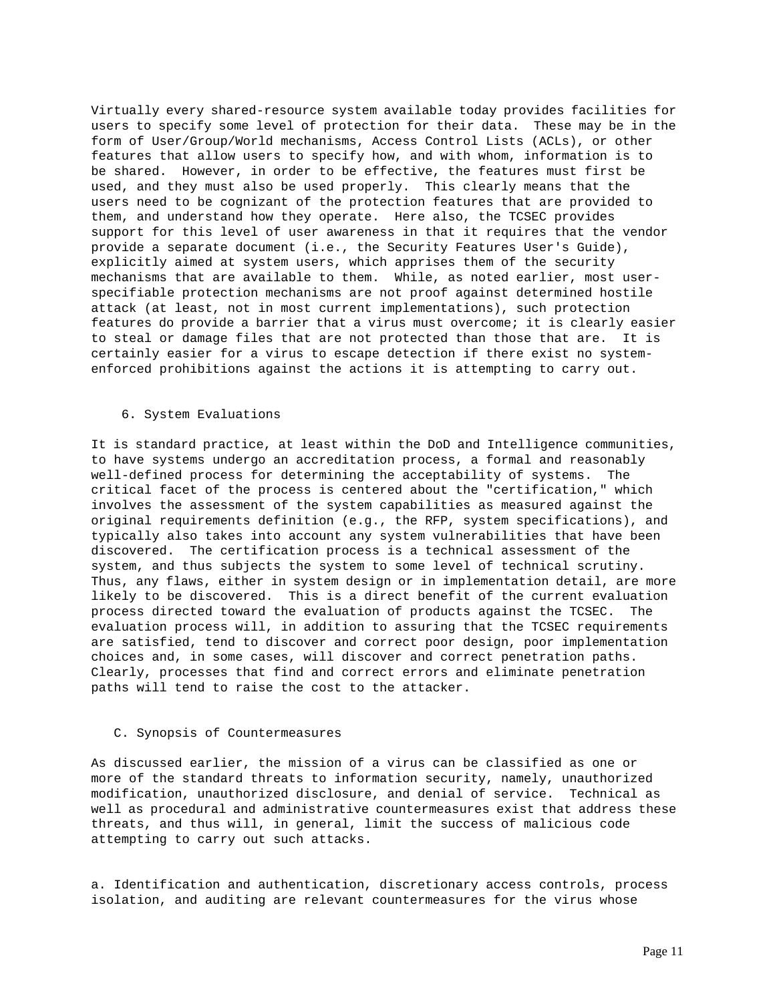Virtually every shared-resource system available today provides facilities for users to specify some level of protection for their data. These may be in the form of User/Group/World mechanisms, Access Control Lists (ACLs), or other features that allow users to specify how, and with whom, information is to be shared. However, in order to be effective, the features must first be used, and they must also be used properly. This clearly means that the users need to be cognizant of the protection features that are provided to them, and understand how they operate. Here also, the TCSEC provides support for this level of user awareness in that it requires that the vendor provide a separate document (i.e., the Security Features User's Guide), explicitly aimed at system users, which apprises them of the security mechanisms that are available to them. While, as noted earlier, most userspecifiable protection mechanisms are not proof against determined hostile attack (at least, not in most current implementations), such protection features do provide a barrier that a virus must overcome; it is clearly easier to steal or damage files that are not protected than those that are. It is certainly easier for a virus to escape detection if there exist no systemenforced prohibitions against the actions it is attempting to carry out.

## 6. System Evaluations

It is standard practice, at least within the DoD and Intelligence communities, to have systems undergo an accreditation process, a formal and reasonably well-defined process for determining the acceptability of systems. The critical facet of the process is centered about the "certification," which involves the assessment of the system capabilities as measured against the original requirements definition (e.g., the RFP, system specifications), and typically also takes into account any system vulnerabilities that have been discovered. The certification process is a technical assessment of the system, and thus subjects the system to some level of technical scrutiny. Thus, any flaws, either in system design or in implementation detail, are more likely to be discovered. This is a direct benefit of the current evaluation process directed toward the evaluation of products against the TCSEC. The evaluation process will, in addition to assuring that the TCSEC requirements are satisfied, tend to discover and correct poor design, poor implementation choices and, in some cases, will discover and correct penetration paths. Clearly, processes that find and correct errors and eliminate penetration paths will tend to raise the cost to the attacker.

## C. Synopsis of Countermeasures

As discussed earlier, the mission of a virus can be classified as one or more of the standard threats to information security, namely, unauthorized modification, unauthorized disclosure, and denial of service. Technical as well as procedural and administrative countermeasures exist that address these threats, and thus will, in general, limit the success of malicious code attempting to carry out such attacks.

a. Identification and authentication, discretionary access controls, process isolation, and auditing are relevant countermeasures for the virus whose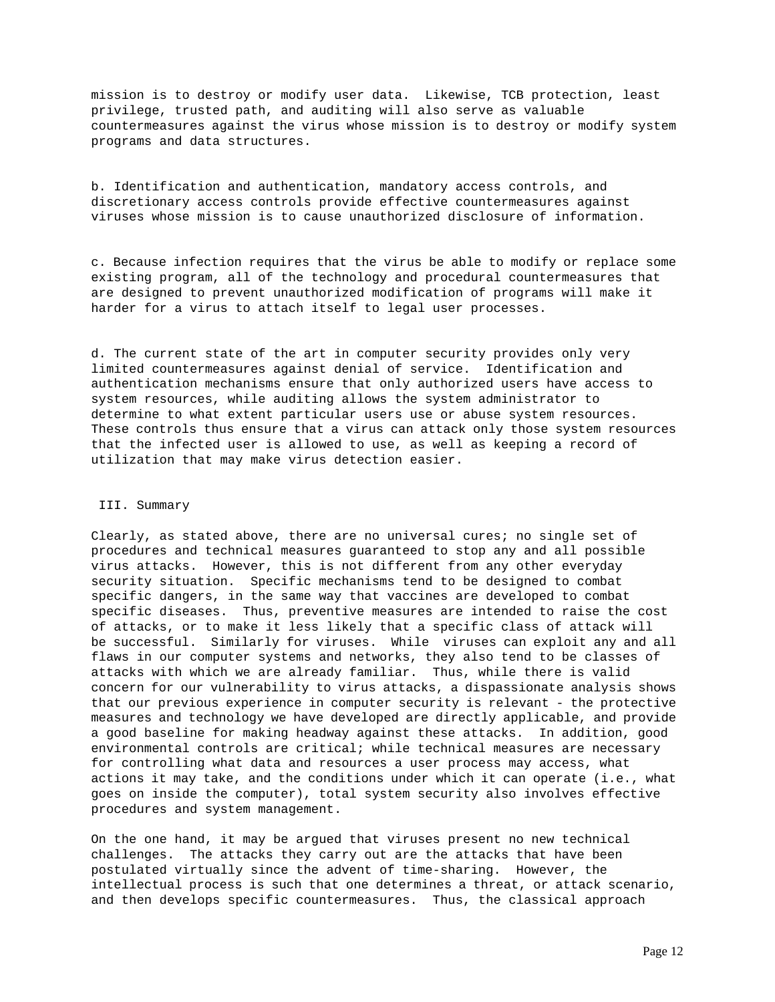mission is to destroy or modify user data. Likewise, TCB protection, least privilege, trusted path, and auditing will also serve as valuable countermeasures against the virus whose mission is to destroy or modify system programs and data structures.

b. Identification and authentication, mandatory access controls, and discretionary access controls provide effective countermeasures against viruses whose mission is to cause unauthorized disclosure of information.

c. Because infection requires that the virus be able to modify or replace some existing program, all of the technology and procedural countermeasures that are designed to prevent unauthorized modification of programs will make it harder for a virus to attach itself to legal user processes.

d. The current state of the art in computer security provides only very limited countermeasures against denial of service. Identification and authentication mechanisms ensure that only authorized users have access to system resources, while auditing allows the system administrator to determine to what extent particular users use or abuse system resources. These controls thus ensure that a virus can attack only those system resources that the infected user is allowed to use, as well as keeping a record of utilization that may make virus detection easier.

# III. Summary

Clearly, as stated above, there are no universal cures; no single set of procedures and technical measures guaranteed to stop any and all possible virus attacks. However, this is not different from any other everyday security situation. Specific mechanisms tend to be designed to combat specific dangers, in the same way that vaccines are developed to combat specific diseases. Thus, preventive measures are intended to raise the cost of attacks, or to make it less likely that a specific class of attack will be successful. Similarly for viruses. While viruses can exploit any and all flaws in our computer systems and networks, they also tend to be classes of attacks with which we are already familiar. Thus, while there is valid concern for our vulnerability to virus attacks, a dispassionate analysis shows that our previous experience in computer security is relevant - the protective measures and technology we have developed are directly applicable, and provide a good baseline for making headway against these attacks. In addition, good environmental controls are critical; while technical measures are necessary for controlling what data and resources a user process may access, what actions it may take, and the conditions under which it can operate (i.e., what goes on inside the computer), total system security also involves effective procedures and system management.

On the one hand, it may be argued that viruses present no new technical challenges. The attacks they carry out are the attacks that have been postulated virtually since the advent of time-sharing. However, the intellectual process is such that one determines a threat, or attack scenario, and then develops specific countermeasures. Thus, the classical approach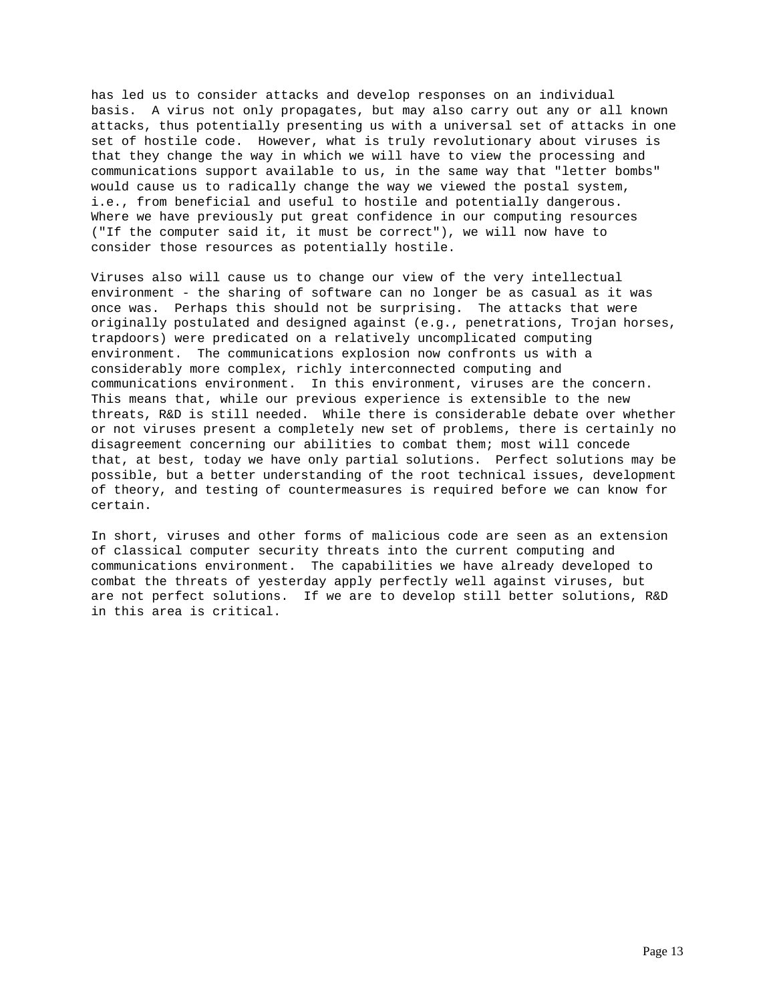has led us to consider attacks and develop responses on an individual basis. A virus not only propagates, but may also carry out any or all known attacks, thus potentially presenting us with a universal set of attacks in one set of hostile code. However, what is truly revolutionary about viruses is that they change the way in which we will have to view the processing and communications support available to us, in the same way that "letter bombs" would cause us to radically change the way we viewed the postal system, i.e., from beneficial and useful to hostile and potentially dangerous. Where we have previously put great confidence in our computing resources ("If the computer said it, it must be correct"), we will now have to consider those resources as potentially hostile.

Viruses also will cause us to change our view of the very intellectual environment - the sharing of software can no longer be as casual as it was once was. Perhaps this should not be surprising. The attacks that were originally postulated and designed against (e.g., penetrations, Trojan horses, trapdoors) were predicated on a relatively uncomplicated computing environment. The communications explosion now confronts us with a considerably more complex, richly interconnected computing and communications environment. In this environment, viruses are the concern. This means that, while our previous experience is extensible to the new threats, R&D is still needed. While there is considerable debate over whether or not viruses present a completely new set of problems, there is certainly no disagreement concerning our abilities to combat them; most will concede that, at best, today we have only partial solutions. Perfect solutions may be possible, but a better understanding of the root technical issues, development of theory, and testing of countermeasures is required before we can know for certain.

In short, viruses and other forms of malicious code are seen as an extension of classical computer security threats into the current computing and communications environment. The capabilities we have already developed to combat the threats of yesterday apply perfectly well against viruses, but are not perfect solutions. If we are to develop still better solutions, R&D in this area is critical.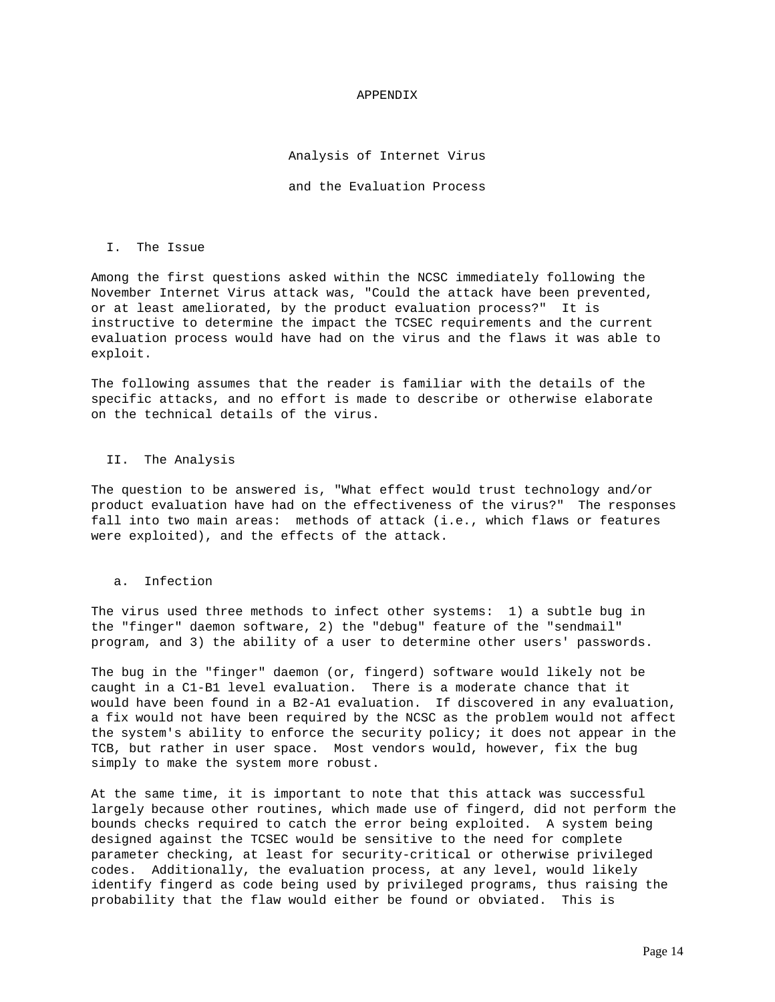### APPENDIX

## Analysis of Internet Virus

and the Evaluation Process

#### I. The Issue

Among the first questions asked within the NCSC immediately following the November Internet Virus attack was, "Could the attack have been prevented, or at least ameliorated, by the product evaluation process?" It is instructive to determine the impact the TCSEC requirements and the current evaluation process would have had on the virus and the flaws it was able to exploit.

The following assumes that the reader is familiar with the details of the specific attacks, and no effort is made to describe or otherwise elaborate on the technical details of the virus.

## II. The Analysis

The question to be answered is, "What effect would trust technology and/or product evaluation have had on the effectiveness of the virus?" The responses fall into two main areas: methods of attack (i.e., which flaws or features were exploited), and the effects of the attack.

### a. Infection

The virus used three methods to infect other systems: 1) a subtle bug in the "finger" daemon software, 2) the "debug" feature of the "sendmail" program, and 3) the ability of a user to determine other users' passwords.

The bug in the "finger" daemon (or, fingerd) software would likely not be caught in a C1-B1 level evaluation. There is a moderate chance that it would have been found in a B2-A1 evaluation. If discovered in any evaluation, a fix would not have been required by the NCSC as the problem would not affect the system's ability to enforce the security policy; it does not appear in the TCB, but rather in user space. Most vendors would, however, fix the bug simply to make the system more robust.

At the same time, it is important to note that this attack was successful largely because other routines, which made use of fingerd, did not perform the bounds checks required to catch the error being exploited. A system being designed against the TCSEC would be sensitive to the need for complete parameter checking, at least for security-critical or otherwise privileged codes. Additionally, the evaluation process, at any level, would likely identify fingerd as code being used by privileged programs, thus raising the probability that the flaw would either be found or obviated. This is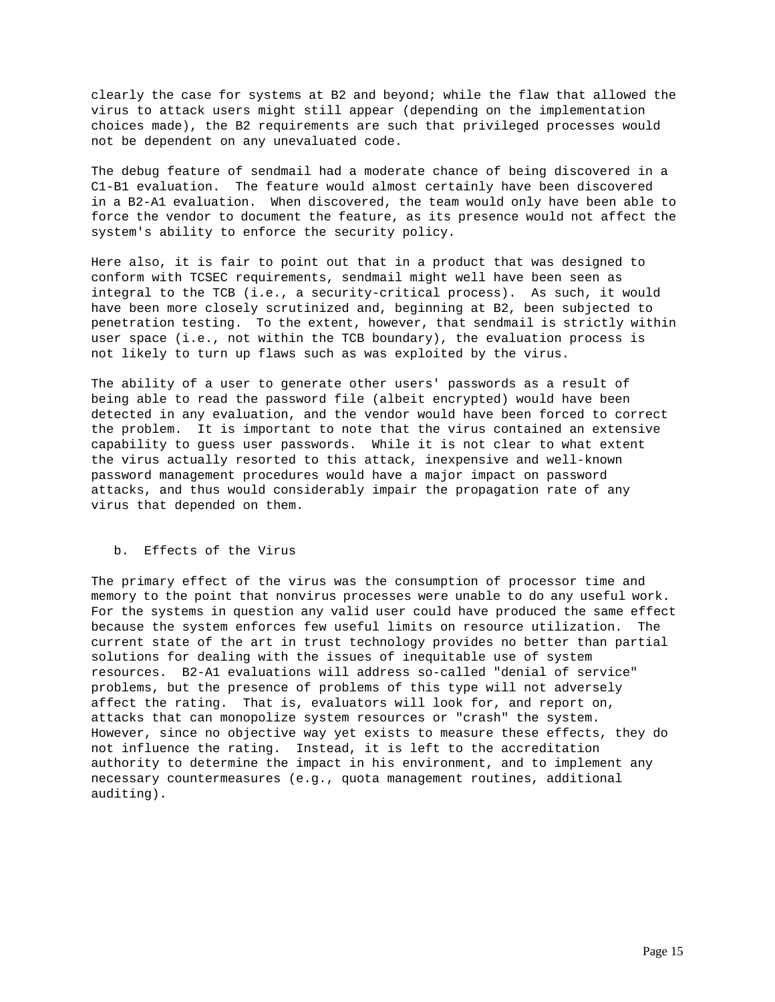clearly the case for systems at B2 and beyond; while the flaw that allowed the virus to attack users might still appear (depending on the implementation choices made), the B2 requirements are such that privileged processes would not be dependent on any unevaluated code.

The debug feature of sendmail had a moderate chance of being discovered in a C1-B1 evaluation. The feature would almost certainly have been discovered in a B2-A1 evaluation. When discovered, the team would only have been able to force the vendor to document the feature, as its presence would not affect the system's ability to enforce the security policy.

Here also, it is fair to point out that in a product that was designed to conform with TCSEC requirements, sendmail might well have been seen as integral to the TCB (i.e., a security-critical process). As such, it would have been more closely scrutinized and, beginning at B2, been subjected to penetration testing. To the extent, however, that sendmail is strictly within user space (i.e., not within the TCB boundary), the evaluation process is not likely to turn up flaws such as was exploited by the virus.

The ability of a user to generate other users' passwords as a result of being able to read the password file (albeit encrypted) would have been detected in any evaluation, and the vendor would have been forced to correct the problem. It is important to note that the virus contained an extensive capability to guess user passwords. While it is not clear to what extent the virus actually resorted to this attack, inexpensive and well-known password management procedures would have a major impact on password attacks, and thus would considerably impair the propagation rate of any virus that depended on them.

# b. Effects of the Virus

The primary effect of the virus was the consumption of processor time and memory to the point that nonvirus processes were unable to do any useful work. For the systems in question any valid user could have produced the same effect because the system enforces few useful limits on resource utilization. The current state of the art in trust technology provides no better than partial solutions for dealing with the issues of inequitable use of system resources. B2-A1 evaluations will address so-called "denial of service" problems, but the presence of problems of this type will not adversely affect the rating. That is, evaluators will look for, and report on, attacks that can monopolize system resources or "crash" the system. However, since no objective way yet exists to measure these effects, they do not influence the rating. Instead, it is left to the accreditation authority to determine the impact in his environment, and to implement any necessary countermeasures (e.g., quota management routines, additional auditing).